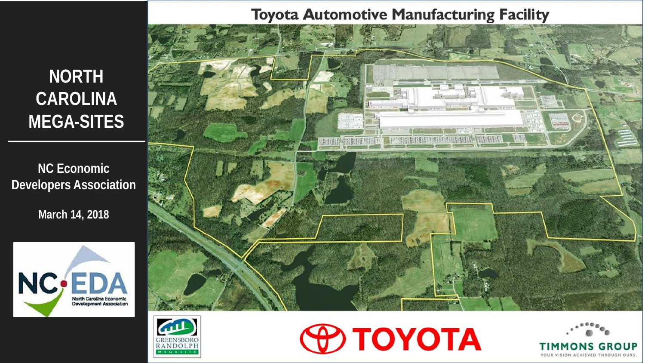# **NORTH CAROLINA MEGA-SITES**

**NC Economic Developers Association**

**March 14, 2018**











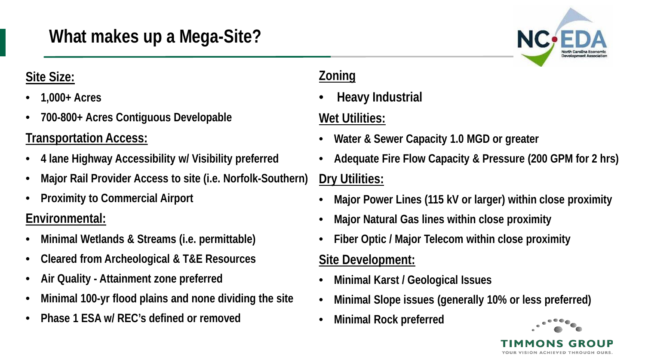# **What makes up a Mega-Site?**

### **Site Size:**

- **1,000+ Acres**
- **700-800+ Acres Contiguous Developable**

## **Transportation Access:**

- **4 lane Highway Accessibility w/ Visibility preferred**
- **Major Rail Provider Access to site (i.e. Norfolk-Southern)**
- **Proximity to Commercial Airport**

## **Environmental:**

- **Minimal Wetlands & Streams (i.e. permittable)**
- **Cleared from Archeological & T&E Resources**
- **Air Quality - Attainment zone preferred**
- **Minimal 100-yr flood plains and none dividing the site**
- **Phase 1 ESA w/ REC's defined or removed**

### **Zoning**

• **Heavy Industrial**

## **Wet Utilities:**

- **Water & Sewer Capacity 1.0 MGD or greater**
- **Adequate Fire Flow Capacity & Pressure (200 GPM for 2 hrs) Dry Utilities:**
- **Major Power Lines (115 kV or larger) within close proximity**
- **Major Natural Gas lines within close proximity**
- **Fiber Optic / Major Telecom within close proximity**

## **Site Development:**

- **Minimal Karst / Geological Issues**
- **Minimal Slope issues (generally 10% or less preferred)**
- **Minimal Rock preferred**



**ICIÓN ACHIEVED THROHCH** 

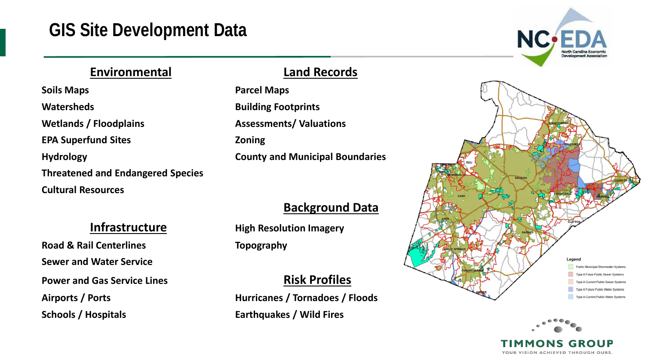## **GIS Site Development Data**

### **Environmental Land Records**

**Soils Maps Parcel Maps Watersheds Building Footprints Wetlands / Floodplains Assessments/ Valuations EPA Superfund Sites Zoning Hydrology County and Municipal Boundaries Threatened and Endangered Species Cultural Resources**

**Road & Rail Centerlines Topography Sewer and Water Service Power and Gas Service Lines Risk Profiles** 

### **Background Data**

**Infrastructure High Resolution Imagery** 

Airports / Ports **Music Edge Control Airports / Ports Airports / Ports Schools / Hospitals Earthquakes / Wild Fires** 





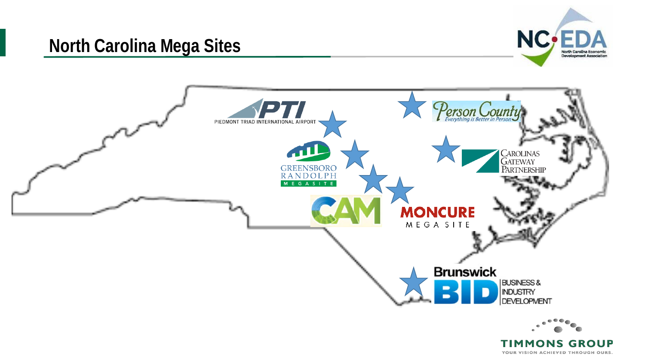## **North Carolina Mega Sites**





YOUR VISION ACHIEVED THROUGH OURS.